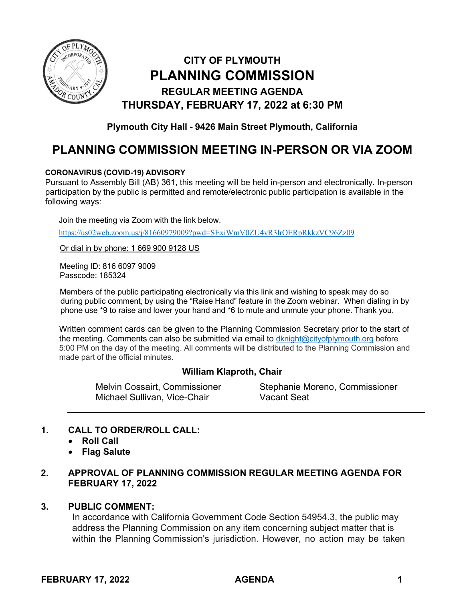

# **CITY OF PLYMOUTH PLANNING COMMISSION REGULAR MEETING AGENDA THURSDAY, FEBRUARY 17, 2022 at 6:30 PM**

**Plymouth City Hall - 9426 Main Street Plymouth, California**

# **PLANNING COMMISSION MEETING IN-PERSON OR VIA ZOOM**

#### **CORONAVIRUS (COVID-19) ADVISORY**

Pursuant to Assembly Bill (AB) 361, this meeting will be held in-person and electronically. In-person participation by the public is permitted and remote/electronic public participation is available in the following ways:

Join the meeting via Zoom with the link below.

<https://us02web.zoom.us/j/81660979009?pwd=SExiWmV0ZU4vR3lrOERpRkkzVC96Zz09>

Or dial in by phone: 1 669 900 9128 US

Meeting ID: 816 6097 9009 Passcode: 185324

Members of the public participating electronically via this link and wishing to speak may do so during public comment, by using the "Raise Hand" feature in the Zoom webinar. When dialing in by phone use \*9 to raise and lower your hand and \*6 to mute and unmute your phone. Thank you.

Written comment cards can be given to the Planning Commission Secretary prior to the start of the meeting. Comments can also be submitted via email to [dknight@cityofplymouth.org](mailto:dknight@cityofplymouth.org) before 5:00 PM on the day of the meeting. All comments will be distributed to the Planning Commission and made part of the official minutes.

# **William Klaproth, Chair**

Michael Sullivan, Vice-Chair Vacant Seat

Melvin Cossairt, Commissioner Stephanie Moreno, Commissioner

# **1. CALL TO ORDER/ROLL CALL:**

- **Roll Call**
- **Flag Salute**
- **2. APPROVAL OF PLANNING COMMISSION REGULAR MEETING AGENDA FOR FEBRUARY 17, 2022**

# **3. PUBLIC COMMENT:**

In accordance with California Government Code Section 54954.3, the public may address the Planning Commission on any item concerning subject matter that is within the Planning Commission's jurisdiction. However, no action may be taken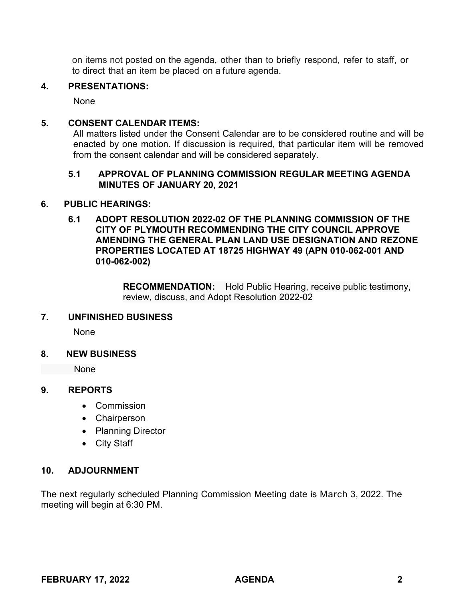on items not posted on the agenda, other than to briefly respond, refer to staff, or to direct that an item be placed on a future agenda.

#### **4. PRESENTATIONS:**

None

#### **5. CONSENT CALENDAR ITEMS:**

All matters listed under the Consent Calendar are to be considered routine and will be enacted by one motion. If discussion is required, that particular item will be removed from the consent calendar and will be considered separately.

# **5.1 APPROVAL OF PLANNING COMMISSION REGULAR MEETING AGENDA MINUTES OF JANUARY 20, 2021**

#### **6. PUBLIC HEARINGS:**

**6.1 ADOPT RESOLUTION 2022-02 OF THE PLANNING COMMISSION OF THE CITY OF PLYMOUTH RECOMMENDING THE CITY COUNCIL APPROVE AMENDING THE GENERAL PLAN LAND USE DESIGNATION AND REZONE PROPERTIES LOCATED AT 18725 HIGHWAY 49 (APN 010-062-001 AND 010-062-002)**

> **RECOMMENDATION:** Hold Public Hearing, receive public testimony, review, discuss, and Adopt Resolution 2022-02

#### **7. UNFINISHED BUSINESS**

None

**8. NEW BUSINESS**

None

# **9. REPORTS**

- Commission
- Chairperson
- Planning Director
- City Staff

# **10. ADJOURNMENT**

The next regularly scheduled Planning Commission Meeting date is March 3, 2022. The meeting will begin at 6:30 PM.